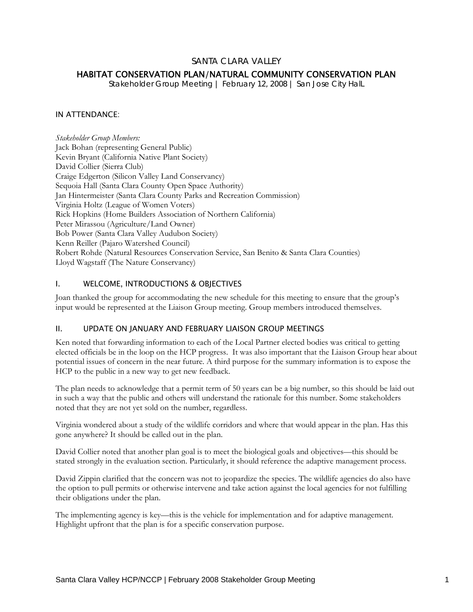## SANTA CLARA VALLEY

# HABITAT CONSERVATION PLAN/NATURAL COMMUNITY CONSERVATION PLAN

*Stakeholder Group Meeting | February 12, 2008 | San Jose City HalL* 

### IN ATTENDANCE:

*Stakeholder Group Members:*  Jack Bohan (representing General Public) Kevin Bryant (California Native Plant Society) David Collier (Sierra Club) Craige Edgerton (Silicon Valley Land Conservancy) Sequoia Hall (Santa Clara County Open Space Authority) Jan Hintermeister (Santa Clara County Parks and Recreation Commission) Virginia Holtz (League of Women Voters) Rick Hopkins (Home Builders Association of Northern California) Peter Mirassou (Agriculture/Land Owner) Bob Power (Santa Clara Valley Audubon Society) Kenn Reiller (Pajaro Watershed Council) Robert Rohde (Natural Resources Conservation Service, San Benito & Santa Clara Counties) Lloyd Wagstaff (The Nature Conservancy)

### I. WELCOME, INTRODUCTIONS & OBJECTIVES

Joan thanked the group for accommodating the new schedule for this meeting to ensure that the group's input would be represented at the Liaison Group meeting. Group members introduced themselves.

#### II. UPDATE ON JANUARY AND FEBRUARY LIAISON GROUP MEETINGS

Ken noted that forwarding information to each of the Local Partner elected bodies was critical to getting elected officials be in the loop on the HCP progress. It was also important that the Liaison Group hear about potential issues of concern in the near future. A third purpose for the summary information is to expose the HCP to the public in a new way to get new feedback.

The plan needs to acknowledge that a permit term of 50 years can be a big number, so this should be laid out in such a way that the public and others will understand the rationale for this number. Some stakeholders noted that they are not yet sold on the number, regardless.

Virginia wondered about a study of the wildlife corridors and where that would appear in the plan. Has this gone anywhere? It should be called out in the plan.

David Collier noted that another plan goal is to meet the biological goals and objectives—this should be stated strongly in the evaluation section. Particularly, it should reference the adaptive management process.

David Zippin clarified that the concern was not to jeopardize the species. The wildlife agencies do also have the option to pull permits or otherwise intervene and take action against the local agencies for not fulfilling their obligations under the plan.

The implementing agency is key—this is the vehicle for implementation and for adaptive management. Highlight upfront that the plan is for a specific conservation purpose.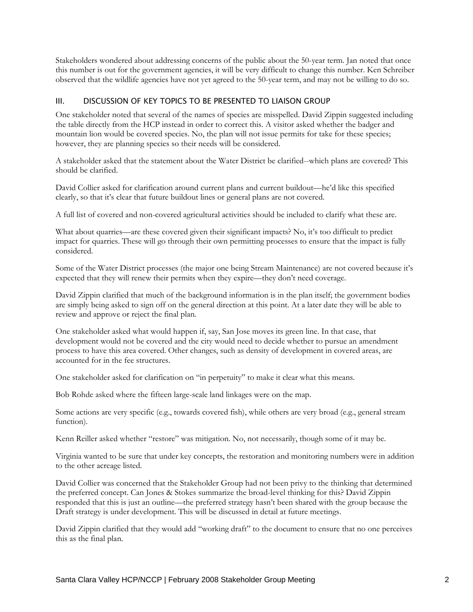Stakeholders wondered about addressing concerns of the public about the 50-year term. Jan noted that once this number is out for the government agencies, it will be very difficult to change this number. Ken Schreiber observed that the wildlife agencies have not yet agreed to the 50-year term, and may not be willing to do so.

## III. DISCUSSION OF KEY TOPICS TO BE PRESENTED TO LIAISON GROUP

One stakeholder noted that several of the names of species are misspelled. David Zippin suggested including the table directly from the HCP instead in order to correct this. A visitor asked whether the badger and mountain lion would be covered species. No, the plan will not issue permits for take for these species; however, they are planning species so their needs will be considered.

A stakeholder asked that the statement about the Water District be clarified--which plans are covered? This should be clarified.

David Collier asked for clarification around current plans and current buildout—he'd like this specified clearly, so that it's clear that future buildout lines or general plans are not covered.

A full list of covered and non-covered agricultural activities should be included to clarify what these are.

What about quarries—are these covered given their significant impacts? No, it's too difficult to predict impact for quarries. These will go through their own permitting processes to ensure that the impact is fully considered.

Some of the Water District processes (the major one being Stream Maintenance) are not covered because it's expected that they will renew their permits when they expire—they don't need coverage.

David Zippin clarified that much of the background information is in the plan itself; the government bodies are simply being asked to sign off on the general direction at this point. At a later date they will be able to review and approve or reject the final plan.

One stakeholder asked what would happen if, say, San Jose moves its green line. In that case, that development would not be covered and the city would need to decide whether to pursue an amendment process to have this area covered. Other changes, such as density of development in covered areas, are accounted for in the fee structures.

One stakeholder asked for clarification on "in perpetuity" to make it clear what this means.

Bob Rohde asked where the fifteen large-scale land linkages were on the map.

Some actions are very specific (e.g., towards covered fish), while others are very broad (e.g., general stream function).

Kenn Reiller asked whether "restore" was mitigation. No, not necessarily, though some of it may be.

Virginia wanted to be sure that under key concepts, the restoration and monitoring numbers were in addition to the other acreage listed.

David Collier was concerned that the Stakeholder Group had not been privy to the thinking that determined the preferred concept. Can Jones & Stokes summarize the broad-level thinking for this? David Zippin responded that this is just an outline—the preferred strategy hasn't been shared with the group because the Draft strategy is under development. This will be discussed in detail at future meetings.

David Zippin clarified that they would add "working draft" to the document to ensure that no one perceives this as the final plan.